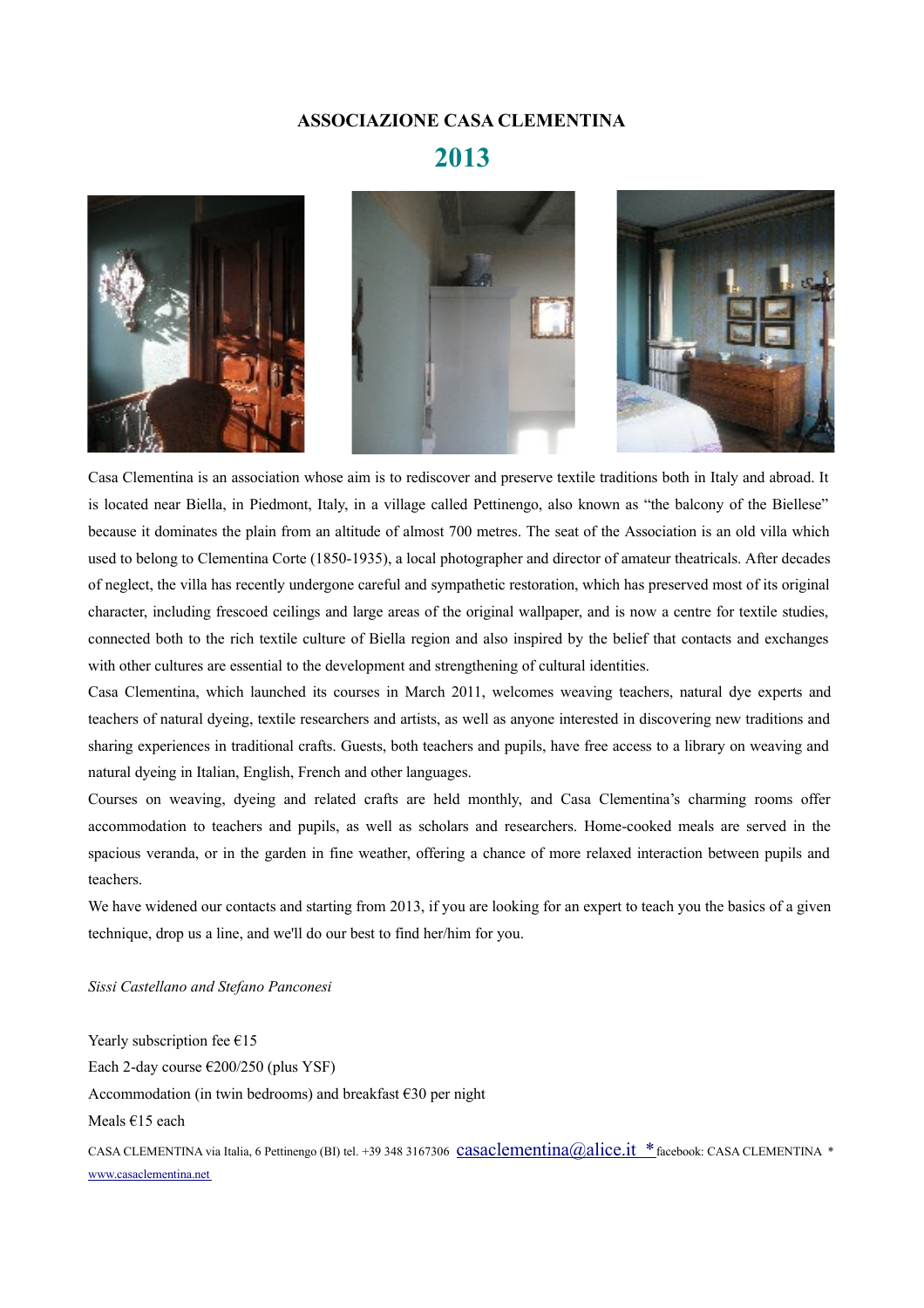### **ASSOCIAZIONE CASA CLEMENTINA**

# **2013**



Casa Clementina is an association whose aim is to rediscover and preserve textile traditions both in Italy and abroad. It is located near Biella, in Piedmont, Italy, in a village called Pettinengo, also known as "the balcony of the Biellese" because it dominates the plain from an altitude of almost 700 metres. The seat of the Association is an old villa which used to belong to Clementina Corte (1850-1935), a local photographer and director of amateur theatricals. After decades of neglect, the villa has recently undergone careful and sympathetic restoration, which has preserved most of its original character, including frescoed ceilings and large areas of the original wallpaper, and is now a centre for textile studies, connected both to the rich textile culture of Biella region and also inspired by the belief that contacts and exchanges with other cultures are essential to the development and strengthening of cultural identities.

Casa Clementina, which launched its courses in March 2011, welcomes weaving teachers, natural dye experts and teachers of natural dyeing, textile researchers and artists, as well as anyone interested in discovering new traditions and sharing experiences in traditional crafts. Guests, both teachers and pupils, have free access to a library on weaving and natural dyeing in Italian, English, French and other languages.

Courses on weaving, dyeing and related crafts are held monthly, and Casa Clementina's charming rooms offer accommodation to teachers and pupils, as well as scholars and researchers. Home-cooked meals are served in the spacious veranda, or in the garden in fine weather, offering a chance of more relaxed interaction between pupils and teachers.

We have widened our contacts and starting from 2013, if you are looking for an expert to teach you the basics of a given technique, drop us a line, and we'll do our best to find her/him for you.

*Sissi Castellano and Stefano Panconesi*

Yearly subscription fee  $€15$ Each 2-day course  $\epsilon$ 200/250 (plus YSF) Accommodation (in twin bedrooms) and breakfast  $\epsilon$ 30 per night Meals €15 each CASA CLEMENTINA via Italia, 6 Pettinengo (BI) tel. +39 348 3167306 Casaclementina@alice.it \*facebook: CASA CLEMENTINA \* [www.casaclementina.net](http://www.casaclementina.net/)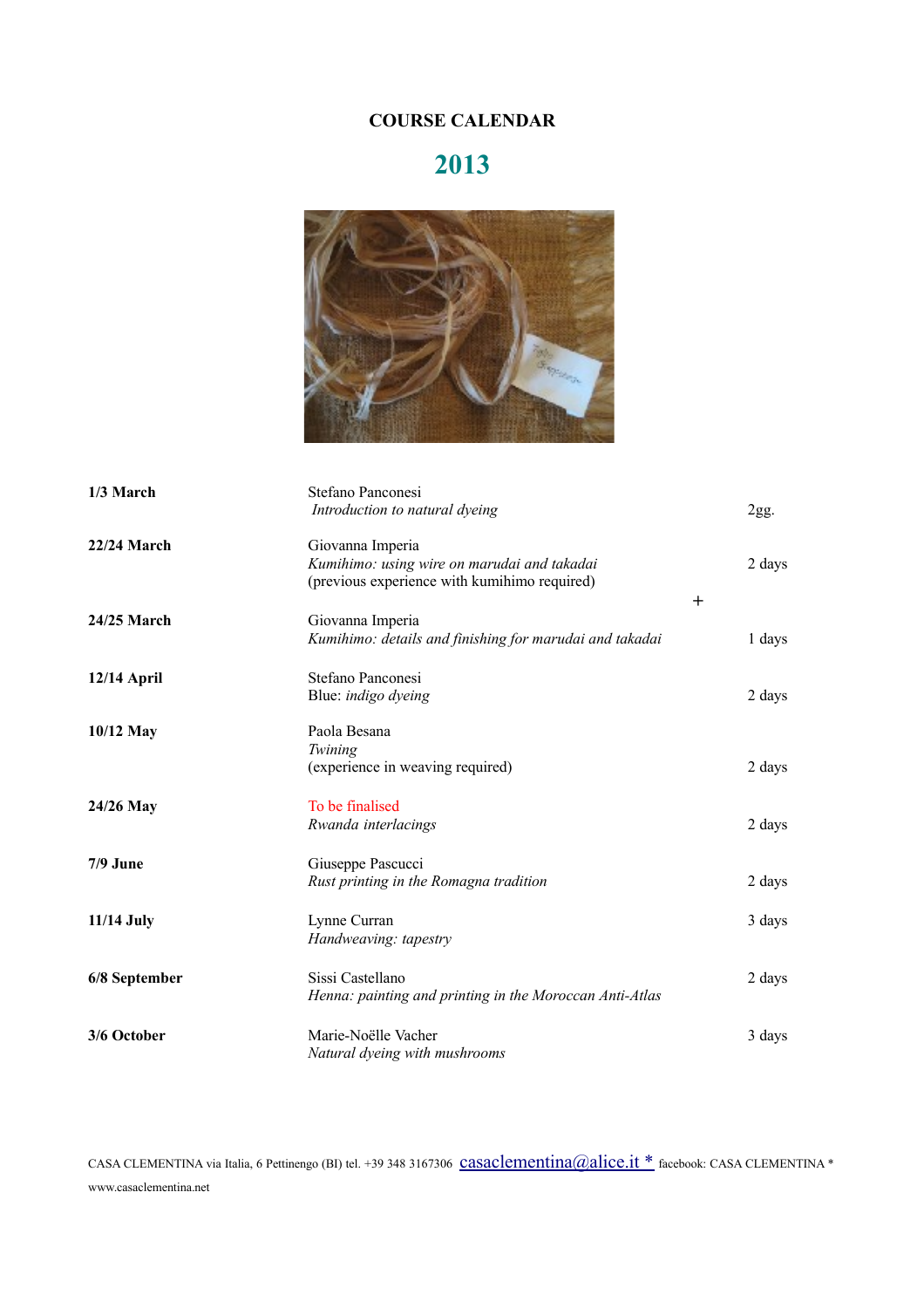# **COURSE CALENDAR**

# **2013**



| 1/3 March     | Stefano Panconesi<br>Introduction to natural dyeing                                                             |        | 2gg.   |
|---------------|-----------------------------------------------------------------------------------------------------------------|--------|--------|
| 22/24 March   | Giovanna Imperia<br>Kumihimo: using wire on marudai and takadai<br>(previous experience with kumihimo required) | $^{+}$ | 2 days |
| 24/25 March   | Giovanna Imperia<br>Kumihimo: details and finishing for marudai and takadai                                     |        | 1 days |
| 12/14 April   | Stefano Panconesi<br>Blue: indigo dyeing                                                                        |        | 2 days |
| 10/12 May     | Paola Besana<br>Twining<br>(experience in weaving required)                                                     |        | 2 days |
| 24/26 May     | To be finalised<br>Rwanda interlacings                                                                          |        | 2 days |
| $7/9$ June    | Giuseppe Pascucci<br>Rust printing in the Romagna tradition                                                     |        | 2 days |
| 11/14 July    | Lynne Curran<br>Handweaving: tapestry                                                                           |        | 3 days |
| 6/8 September | Sissi Castellano<br>Henna: painting and printing in the Moroccan Anti-Atlas                                     |        | 2 days |
| 3/6 October   | Marie-Noëlle Vacher<br>Natural dyeing with mushrooms                                                            |        | 3 days |

CASA CLEMENTINA via Italia, 6 Pettinengo (BI) tel. +39 348 3167306 [casaclementina@alice.it](mailto:casaclementina@alice.it) \* facebook: CASA CLEMENTINA \* www.casaclementina.net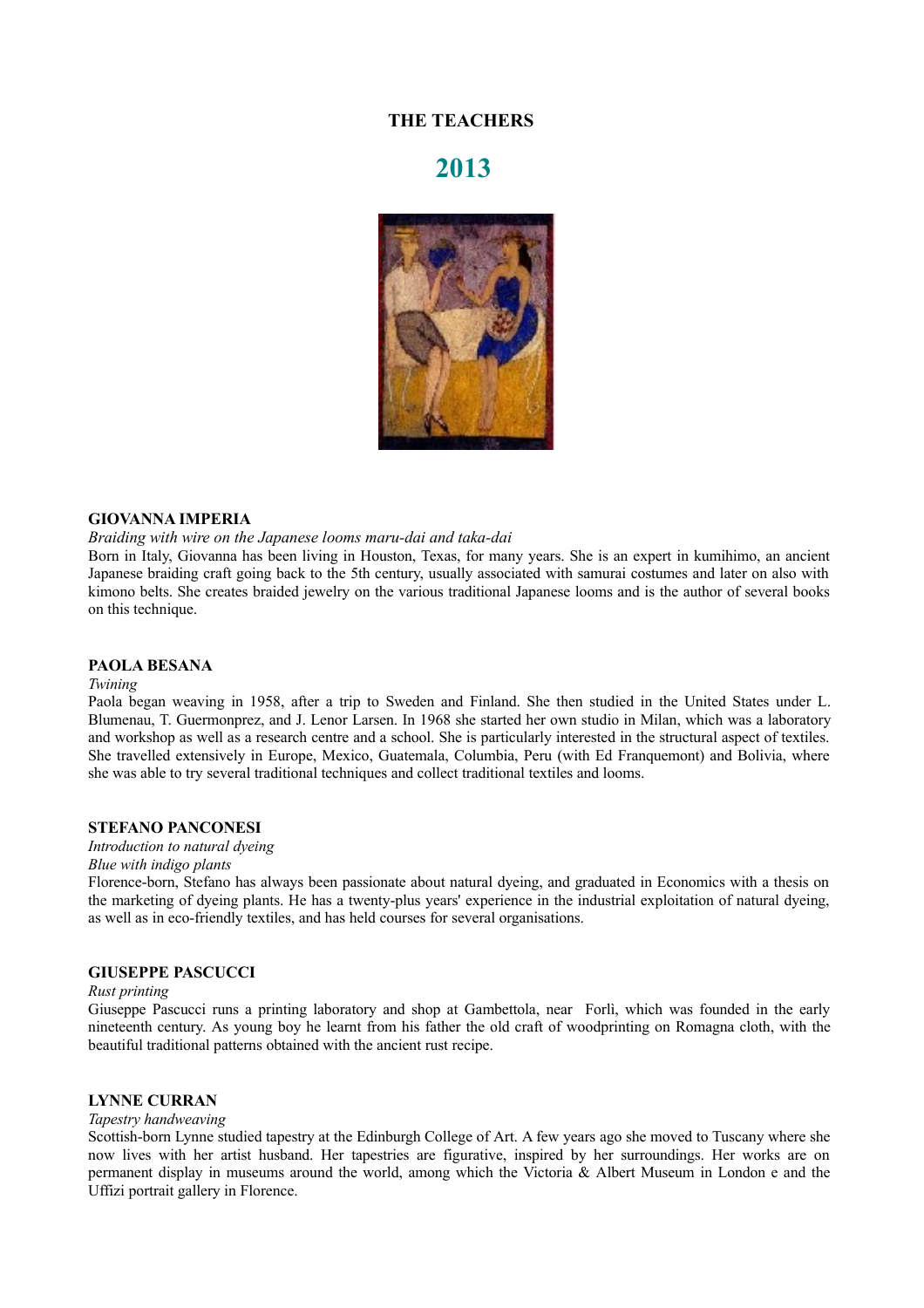# **THE TEACHERS**

# **2013**



#### **GIOVANNA IMPERIA**

*Braiding with wire on the Japanese looms maru-dai and taka-dai*

Born in Italy, Giovanna has been living in Houston, Texas, for many years. She is an expert in kumihimo, an ancient Japanese braiding craft going back to the 5th century, usually associated with samurai costumes and later on also with kimono belts. She creates braided jewelry on the various traditional Japanese looms and is the author of several books on this technique.

#### **PAOLA BESANA**

#### *Twining*

Paola began weaving in 1958, after a trip to Sweden and Finland. She then studied in the United States under L. Blumenau, T. Guermonprez, and J. Lenor Larsen. In 1968 she started her own studio in Milan, which was a laboratory and workshop as well as a research centre and a school. She is particularly interested in the structural aspect of textiles. She travelled extensively in Europe, Mexico, Guatemala, Columbia, Peru (with Ed Franquemont) and Bolivia, where she was able to try several traditional techniques and collect traditional textiles and looms.

#### **STEFANO PANCONESI**

*Introduction to natural dyeing Blue with indigo plants*

Florence-born, Stefano has always been passionate about natural dyeing, and graduated in Economics with a thesis on the marketing of dyeing plants. He has a twenty-plus years' experience in the industrial exploitation of natural dyeing, as well as in eco-friendly textiles, and has held courses for several organisations.

#### **GIUSEPPE PASCUCCI**

#### *Rust printing*

Giuseppe Pascucci runs a printing laboratory and shop at Gambettola, near Forlì, which was founded in the early nineteenth century. As young boy he learnt from his father the old craft of woodprinting on Romagna cloth, with the beautiful traditional patterns obtained with the ancient rust recipe.

### **LYNNE CURRAN**

#### *Tapestry handweaving*

Scottish-born Lynne studied tapestry at the Edinburgh College of Art. A few years ago she moved to Tuscany where she now lives with her artist husband. Her tapestries are figurative, inspired by her surroundings. Her works are on permanent display in museums around the world, among which the Victoria & Albert Museum in London e and the Uffizi portrait gallery in Florence.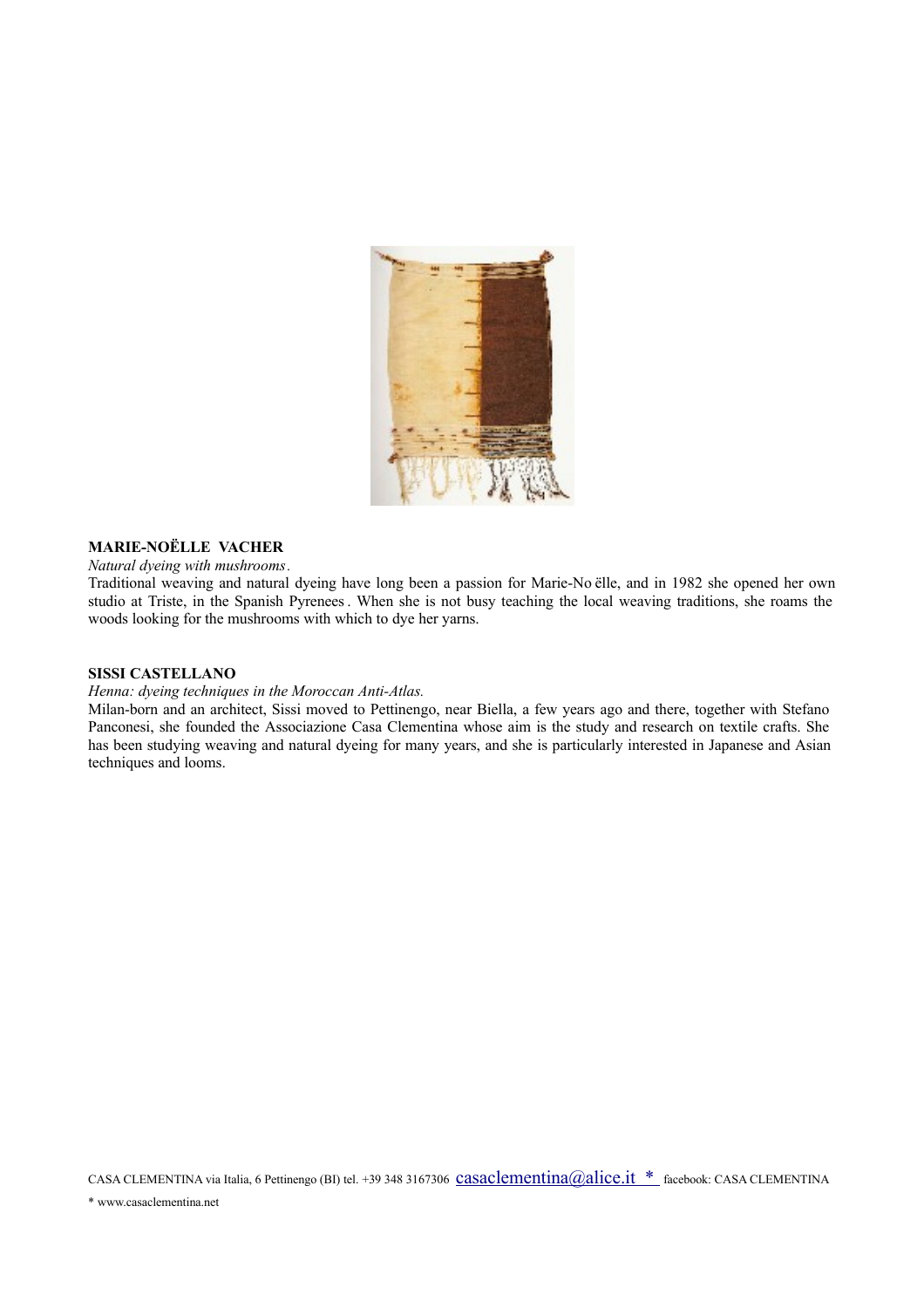

## **MARIE-NOËLLE VACHER**

#### *Natural dyeing with mushrooms.*

Traditional weaving and natural dyeing have long been a passion for Marie-No ëlle, and in 1982 she opened her own studio at Triste, in the Spanish Pyrenees. When she is not busy teaching the local weaving traditions, she roams the woods looking for the mushrooms with which to dye her yarns.

#### **SISSI CASTELLANO**

#### *Henna: dyeing techniques in the Moroccan Anti-Atlas.*

Milan-born and an architect, Sissi moved to Pettinengo, near Biella, a few years ago and there, together with Stefano Panconesi, she founded the Associazione Casa Clementina whose aim is the study and research on textile crafts. She has been studying weaving and natural dyeing for many years, and she is particularly interested in Japanese and Asian techniques and looms.